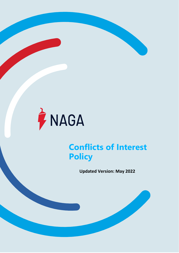

**NAGA Markets Europe Ltd**

Licensed and regulated by CySEC with License No. 204/13

# **Conflicts of Interest Policy**

**Updated Version: May 2022**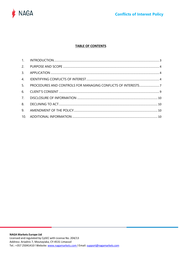

## **TABLE OF CONTENTS**

| 3. |  |
|----|--|
|    |  |
| 5. |  |
|    |  |
|    |  |
| 8. |  |
| 9. |  |
|    |  |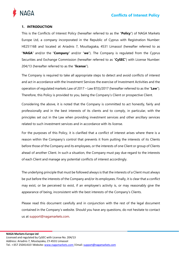

# <span id="page-2-0"></span>**1. INTRODUCTION**

This is the Conflicts of Interest Policy (hereafter referred to as the "**Policy**") of NAGA Markets Europe Ltd, a company incorporated in the Republic of Cyprus with Registration Number: HE251168 and located at Ariadnis 7, Mouttagiaka, 4531 Limassol (hereafter referred to as "**NAGA**" and/or the "**Company**" and/or "**we**"). The Company is regulated from the Cyprus Securities and Exchange Commission (hereafter referred to as "**CySEC**") with License Number: 204/13 (hereafter referred to as the "**license**").

The Company is required to take all appropriate steps to detect and avoid conflicts of interest and act in accordance with the Investment Services the exercise of Investment Activities and the operation of regulated markets Law of 2017 – Law 87(I)/2017 (hereafter referred to as the "**Law**"). Therefore, this Policy is provided to you, being the Company's Client or prospective Client.

Considering the above, it is noted that the Company is committed to act honestly, fairly and professionally and in the best interests of its clients and to comply, in particular, with the principles set out in the Law when providing investment services and other ancillary services related to such investment services and in accordance with its license.

For the purposes of this Policy, it is clarified that a conflict of interest arises where there is a reason within the Company's control that prevents it from putting the interests of its Clients before those of the Company and its employees, or the interests of one Client or group of Clients ahead of another Client. In such a situation, the Company must pay due regard to the interests of each Client and manage any potential conflicts of interest accordingly.

The underlying principle that must be followed always is that the interests of a Client must always be put before the interests of the Company and/or its employees. Finally, it is clear that a conflict may exist, or be perceived to exist, if an employee's activity is, or may reasonably give the appearance of being, inconsistent with the best interests of the Company's Clients.

Please read this document carefully and in conjunction with the rest of the legal document contained in the Company's website. Should you have any questions, do not hesitate to contact us at [support@nagamarkets.com.](mailto:support@nagamarkets.com)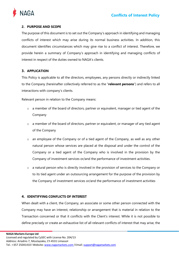

# <span id="page-3-0"></span>**2. PURPOSE AND SCOPE**

The purpose of this document is to set out the Company's approach in identifying and managing conflicts of interest which may arise during its normal business activities. In addition, this document identifies circumstances which may give rise to a conflict of interest. Therefore, we provide herein a summary of Company's approach in identifying and managing conflicts of interest in respect of the duties owned to NAGA's clients.

# <span id="page-3-1"></span>**3. APPLICATION**

This Policy is applicable to all the directors, employees, any persons directly or indirectly linked to the Company (hereinafter collectively referred to as the "**relevant persons**") and refers to all interactions with company's clients.

Relevant person in relation to the Company means:

- o a member of the board of directors, partner or equivalent, manager or tied agent of the Company
- $\circ$  a member of the board of directors, partner or equivalent, or manager of any tied agent of the Company
- $\circ$  an employee of the Company or of a tied agent of the Company, as well as any other natural person whose services are placed at the disposal and under the control of the Company or a tied agent of the Company who is involved in the provision by the Company of investment services or/and the performance of investment activities.
- o a natural person who is directly involved in the provision of services to the Company or to its tied agent under an outsourcing arrangement for the purpose of the provision by the Company of investment services or/and the performance of investment activities

## <span id="page-3-2"></span>**4. IDENTIFYING CONFLICTS OF INTEREST**

When dealt with a client, the Company, an associate or some other person connected with the Company may have an interest, relationship or arrangement that is material in relation to the Transaction concerned or that it conflicts with the Client's interest. While it is not possible to define precisely or create an exhaustive list of all relevant conflicts of interest that may arise, the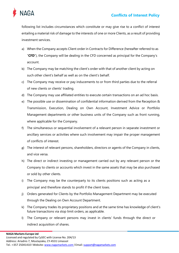

following list includes circumstances which constitute or may give rise to a conflict of interest entailing a material risk of damage to the interests of one or more Clients, as a result of providing investment services.

- a) When the Company accepts Client order in Contracts for Difference (hereafter referred to as "**CFD**"), the Company will be dealing in the CFD concerned as principal for the Company's account.
- b) The Company may be matching the client's order with that of another client by acting on such other client's behalf as well as on the client's behalf.
- c) The Company may receive or pay inducements to or from third parties due to the referral of new clients or clients' trading.
- d) The Company may use affiliated entities to execute certain transactions on an ad hoc basis.
- e) The possible use or dissemination of confidential information derived from the Reception & Transmission, Execution, Dealing on Own Account, Investment Advice or Portfolio Management departments or other business units of the Company such as front running, where applicable for the Company.
- f) The simultaneous or sequential involvement of a relevant person in separate investment or ancillary services or activities where such involvement may impair the proper management of conflicts of interest.
- g) The interest of relevant persons, shareholders, directors or agents of the Company in clients, and vice versa.
- h) The direct or indirect investing or management carried out by any relevant person or the Company to clients or accounts which invest in the same assets that may be also purchased or sold by other clients.
- i) The Company may be the counterparty to its clients positions such as acting as a principal and therefore stands to profit if the client loses.
- j) Orders generated for Clients by the Portfolio Management Department may be executed through the Dealing on Own Account Department.
- k) The Company trades its proprietary positions and at the same time has knowledge of client's future transactions via stop limit orders, as applicable.
- l) The Company or relevant persons may invest in clients' funds through the direct or indirect acquisition of shares.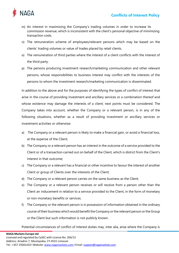



- m) An interest in maximizing the Company's trading volumes in order to increase its commission revenue, which is inconsistent with the client's personal objective of minimizing transaction costs.
- n) The remuneration scheme of employees/relevant persons which may be based on the clients' trading volumes or value of trades placed by retail clients.
- o) The remuneration of third parties where the interest of a client conflicts with the interest of the third party.
- p) The persons producing investment research/marketing communication and other relevant persons, whose responsibilities to business interest may conflict with the interests of the persons to whom the investment research/marketing communication is disseminated.

In addition to the above and for the purposes of identifying the types of conflict of interest that arise in the course of providing investment and ancillary services or a combination thereof and whose existence may damage the interests of a client; next points must be considered. The Company takes into account, whether the Company or a relevant person, is in any of the following situations, whether as a result of providing investment or ancillary services or investment activities or otherwise:

- a) The Company or a relevant person is likely to make a financial gain, or avoid a financial loss, at the expense of the Client;
- b) The Company or a relevant person has an interest in the outcome of a service provided to the Client or of a transaction carried out on behalf of the Client, which is district from the Client's interest in that outcome;
- c) The Company or a relevant has a financial or other incentive to favour the interest of another Client or group of Clients over the interests of the Client;
- d) The Company or a relevant person carries on the same business as the Client;
- e) The Company or a relevant person receives or will receive from a person other than the Client an inducement in relation to a service provided to the Client, in the form of monetary or non-monetary benefits or services.
- f) The Company or the relevant person is in possession of information obtained in the ordinary course of their business which would benefit the Company or the relevant person or the Group or the Client but such information is not publicly known.

Potential circumstances of conflict of interest duties may, inter alia, arise where the Company is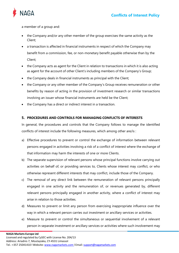

a member of a group and:

- the Company and/or any other member of the group exercises the same activity as the Client;
- a transaction is affected in financial instruments in respect of which the Company may benefit from a commission, fee, or non-monetary benefit payable otherwise than by the Client;
- the Company acts as agent for the Client in relation to transactions in which it is also acting as agent for the account of other Client's including members of the Company's Group;
- the Company deals in financial instruments as principal with the Client;
- the Company or any other member of the Company's Group receives remuneration or other benefits by reason of acting in the provision of investment research or similar transactions involving an issuer whose financial instruments are held be the Client;
- the Company has a direct or indirect interest in a transaction.

# <span id="page-6-0"></span>**5. PROCEDURES AND CONTROLS FOR MANAGING CONFLICTS OF INTERESTS**

In general, the procedures and controls that the Company follows to manage the identified conflicts of interest include the following measures, which among other are/is :

- a) Effective procedures to prevent or control the exchange of information between relevant persons engaged in activities involving a risk of a conflict of interest where the exchange of that information may harm the interests of one or more Clients.
- b) The separate supervision of relevant persons whose principal functions involve carrying out activities on behalf of, or providing services to, Clients whose interest may conflict, or who otherwise represent different interests that may conflict, include those of the Company.
- c) The removal of any direct link between the remuneration of relevant persons principally engaged in one activity and the remuneration of, or revenues generated by, different relevant persons principally engaged in another activity, where a conflict of interest may arise in relation to those activities.
- d) Measures to prevent or limit any person from exercising inappropriate influence over the way in which a relevant person carries out investment or ancillary services or activities.
- e) Measure to prevent or control the simultaneous or sequential involvement of a relevant person in separate investment or ancillary services or activities where such involvement may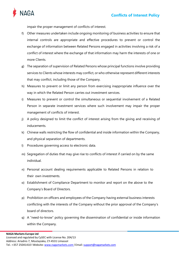

impair the proper management of conflicts of interest.

- f) Other measures undertaken include ongoing monitoring of business activities to ensure that internal controls are appropriate and effective procedures to prevent or control the exchange of information between Related Persons engaged in activities involving a risk of a conflict of interest where the exchange of that information may harm the interests of one or more Clients.
- g) The separation of supervision of Related Persons whose principal functions involve providing services to Clients whose interests may conflict, or who otherwise represent different interests that may conflict, including those of the Company.
- h) Measures to prevent or limit any person from exercising inappropriate influence over the way in which the Related Person carries out investment services.
- i) Measures to prevent or control the simultaneous or sequential involvement of a Related Person in separate investment services where such involvement may impair the proper management of conflicts of interest.
- j) A policy designed to limit the conflict of interest arising from the giving and receiving of inducements.
- k) Chinese walls restricting the flow of confidential and inside information within the Company, and physical separation of departments.
- l) Procedures governing access to electronic data.
- m) Segregation of duties that may give rise to conflicts of interest if carried on by the same individual.
- n) Personal account dealing requirements applicable to Related Persons in relation to their own investments.
- o) Establishment of Compliance Department to monitor and report on the above to the Company's Board of Directors.
- p) Prohibition on officers and employees of the Company having external business interests conflicting with the interests of the Company without the prior approval of the Company's board of directors.
- q) A "need-to-know" policy governing the dissemination of confidential or inside information within the Company.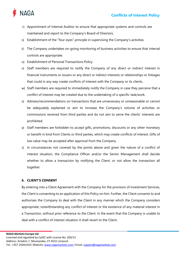

- r) Appointment of Internal Auditor to ensure that appropriate systems and controls are maintained and report to the Company's Board of Directors.
- s) Establishment of the "four-eyes" principle in supervising the Company's activities.
- t) The Company undertakes on-going monitoring of business activities to ensure that internal controls are appropriate.
- u) Establishment of Personal Transactions Policy.
- v) Staff members are required to notify the Company of any direct or indirect interest in financial instruments or issuers or any direct or indirect interests or relationships or linkages that could in any way create conflicts of interest with the Company or its clients.
- w) Staff members are required to immediately notify the Company in case they perceive that a conflict of interest may be created due to the undertaking of a specific task/work.
- x) Advises/recommendations on transactions that are unnecessary or unreasonable or cannot be adequately explained or aim to increase the Company's volume of activities or commissions received from third parties and do not aim to serve the clients' interests are prohibited.
- y) Staff members are forbidden to accept gifts, promotions, discounts or any other monetary or benefit in kind from Clients or third parties, which may create conflicts of interest. Gifts of low value may be accepted after approval from the Company.
- z) In circumstances not covered by the points above and given the nature of a conflict of interest situation, the Compliance Officer and/or the Senior Management shall decide whether to allow a transaction by notifying the Client, or not allow the transaction all together.

## <span id="page-8-0"></span>**6. CLIENT'S CONSENT**

By entering into a Client Agreement with the Company for the provision of Investment Services, the Client is consenting to an application of this Policy on him. Further, the Client consents to and authorises the Company to deal with the Client in any manner which the Company considers appropriate, notwithstanding any conflict of interest or the existence of any material interest in a Transaction, without prior reference to the Client. In the event that the Company is unable to deal with a conflict of interest situation it shall revert to the Client.